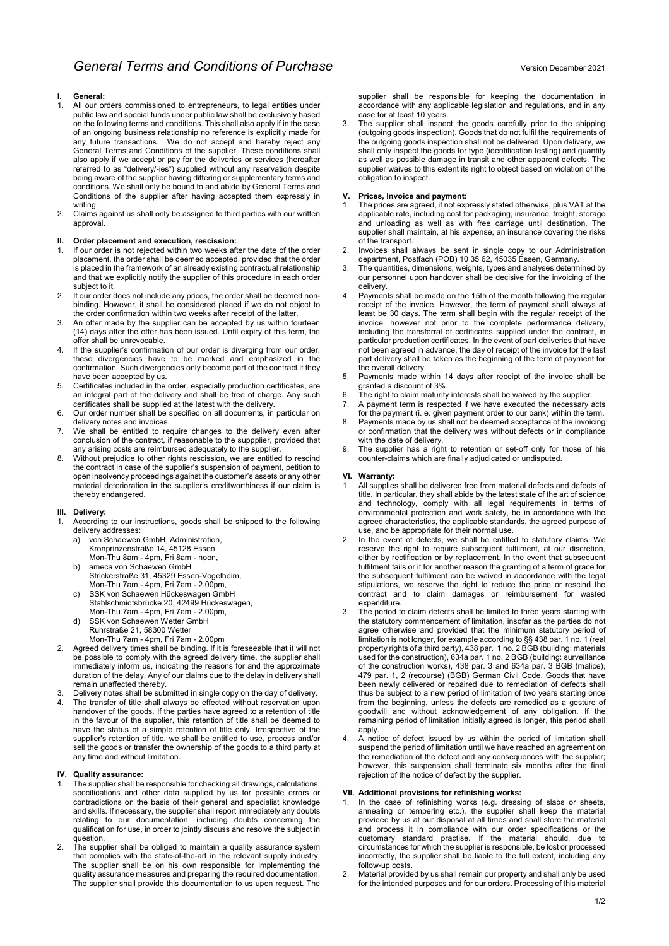# **I. General:**

- 1. All our orders commissioned to entrepreneurs, to legal entities under public law and special funds under public law shall be exclusively based on the following terms and conditions. This shall also apply if in the case of an ongoing business relationship no reference is explicitly made for any future transactions. We do not accept and hereby reject any General Terms and Conditions of the supplier. These conditions shall also apply if we accept or pay for the deliveries or services (hereafter referred to as "delivery/-ies") supplied without any reservation despite being aware of the supplier having differing or supplementary terms and conditions. We shall only be bound to and abide by General Terms and Conditions of the supplier after having accepted them expressly in writing.
- 2. Claims against us shall only be assigned to third parties with our written approval.

#### **II. Order placement and execution, rescission:**

- 1. If our order is not rejected within two weeks after the date of the order placement, the order shall be deemed accepted, provided that the order is placed in the framework of an already existing contractual relationship and that we explicitly notify the supplier of this procedure in each order subject to it.
- 2. If our order does not include any prices, the order shall be deemed nonbinding. However, it shall be considered placed if we do not object to the order confirmation within two weeks after receipt of the latter.
- 3. An offer made by the supplier can be accepted by us within fourteen (14) days after the offer has been issued. Until expiry of this term, the offer shall be unrevocable.
- If the supplier's confirmation of our order is diverging from our order, these divergencies have to be marked and emphasized in the confirmation. Such divergencies only become part of the contract if they have been accepted by us.
- 5. Certificates included in the order, especially production certificates, are an integral part of the delivery and shall be free of charge. Any such certificates shall be supplied at the latest with the delivery.
- 6. Our order number shall be specified on all documents, in particular on delivery notes and invoices.
- 7. We shall be entitled to require changes to the delivery even after conclusion of the contract, if reasonable to the suppplier, provided that any arising costs are reimbursed adequately to the supplier.
- 8. Without prejudice to other rights rescission, we are entitled to rescind the contract in case of the supplier's suspension of payment, petition to open insolvency proceedings against the customer's assets or any other material deterioration in the supplier's creditworthiness if our claim is thereby endangered.

## **III. Delivery:**

- According to our instructions, goods shall be shipped to the following delivery addresses:
	- a) von Schaewen GmbH, Administration, Kronprinzenstraße 14, 45128 Essen, Mon-Thu 8am - 4pm, Fri 8am - noon,
	- b) ameca von Schaewen GmbH Strickerstraße 31, 45329 Essen-Vogelheim,
	- Mon-Thu 7am 4pm, Fri 7am 2.00pm, c) SSK von Schaewen Hückeswagen GmbH Stahlschmidtsbrücke 20, 42499 Hückeswagen,
	- Mon-Thu 7am 4pm, Fri 7am 2.00pm, d) SSK von Schaewen Wetter GmbH
		- Ruhrstraße 21, 58300 Wetter Mon-Thu 7am - 4pm, Fri 7am - 2.00pm
- 2. Agreed delivery times shall be binding. If it is foreseeable that it will not be possible to comply with the agreed delivery time, the supplier shall immediately inform us, indicating the reasons for and the approximate duration of the delay. Any of our claims due to the delay in delivery shall remain unaffected thereby.
- 3. Delivery notes shall be submitted in single copy on the day of delivery.
- The transfer of title shall always be effected without reservation upon handover of the goods. If the parties have agreed to a retention of title in the favour of the supplier, this retention of title shall be deemed to have the status of a simple retention of title only. Irrespective of the supplier's retention of title, we shall be entitled to use, process and/or sell the goods or transfer the ownership of the goods to a third party at any time and without limitation.

# **IV. Quality assurance:**

- The supplier shall be responsible for checking all drawings, calculations, specifications and other data supplied by us for possible errors or contradictions on the basis of their general and specialist knowledge and skills. If necessary, the supplier shall report immediately any doubts relating to our documentation, including doubts concerning the qualification for use, in order to jointly discuss and resolve the subject in question.
- 2. The supplier shall be obliged to maintain a quality assurance system that complies with the state-of-the-art in the relevant supply industry. The supplier shall be on his own responsible for implementing the quality assurance measures and preparing the required documentation. The supplier shall provide this documentation to us upon request. The

supplier shall be responsible for keeping the documentation in accordance with any applicable legislation and regulations, and in any case for at least 10 years.

3. The supplier shall inspect the goods carefully prior to the shipping (outgoing goods inspection). Goods that do not fulfil the requirements of the outgoing goods inspection shall not be delivered. Upon delivery, we shall only inspect the goods for type (identification testing) and quantity as well as possible damage in transit and other apparent defects. The supplier waives to this extent its right to object based on violation of the obligation to inspect.

#### **V. Prices, Invoice and payment:**

- 1. The prices are agreed, if not expressly stated otherwise, plus VAT at the applicable rate, including cost for packaging, insurance, freight, storage and unloading as well as with free carriage until destination. The supplier shall maintain, at his expense, an insurance covering the risks of the transport.
- 2. Invoices shall always be sent in single copy to our Administration department, Postfach (POB) 10 35 62, 45035 Essen, Germany.
- 3. The quantities, dimensions, weights, types and analyses determined by our personnel upon handover shall be decisive for the invoicing of the delivery.
- Payments shall be made on the 15th of the month following the regular receipt of the invoice. However, the term of payment shall always at least be 30 days. The term shall begin with the regular receipt of the invoice, however not prior to the complete performance delivery, including the transferral of certificates supplied under the contract, in particular production certificates. In the event of part deliveries that have not been agreed in advance, the day of receipt of the invoice for the last part delivery shall be taken as the beginning of the term of payment for the overall delivery.
- 5. Payments made within 14 days after receipt of the invoice shall be granted a discount of 3%.
- 6. The right to claim maturity interests shall be waived by the supplier.
- A payment term is respected if we have executed the necessary acts
- for the payment (i. e. given payment order to our bank) within the term. 8. Payments made by us shall not be deemed acceptance of the invoicing or confirmation that the delivery was without defects or in compliance with the date of delivery.
- 9. The supplier has a right to retention or set-off only for those of his counter-claims which are finally adjudicated or undisputed.

## **VI. Warranty:**

- 1. All supplies shall be delivered free from material defects and defects of title. In particular, they shall abide by the latest state of the art of science and technology, comply with all legal requirements in terms of environmental protection and work safety, be in accordance with the agreed characteristics, the applicable standards, the agreed purpose of use, and be appropriate for their normal use.
- In the event of defects, we shall be entitled to statutory claims. We reserve the right to require subsequent fulfilment, at our discretion, either by rectification or by replacement. In the event that subsequent fulfilment fails or if for another reason the granting of a term of grace for the subsequent fulfilment can be waived in accordance with the legal stipulations, we reserve the right to reduce the price or rescind the contract and to claim damages or reimbursement for wasted expenditure.
- 3. The period to claim defects shall be limited to three years starting with the statutory commencement of limitation, insofar as the parties do not agree otherwise and provided that the minimum statutory period of limitation is not longer, for example according to §§ 438 par. 1 no. 1 (real property rights of a third party), 438 par. 1 no. 2 BGB (building: materials used for the construction), 634a par. 1 no. 2 BGB (building: surveillance of the construction works), 438 par. 3 and 634a par. 3 BGB (malice), 479 par. 1, 2 (recourse) (BGB) German Civil Code. Goods that have been newly delivered or repaired due to remediation of defects shall thus be subject to a new period of limitation of two years starting once from the beginning, unless the defects are remedied as a gesture of goodwill and without acknowledgement of any obligation. If the remaining period of limitation initially agreed is longer, this period shall apply.
- 4. A notice of defect issued by us within the period of limitation shall suspend the period of limitation until we have reached an agreement on the remediation of the defect and any consequences with the supplier; however, this suspension shall terminate six months after the final rejection of the notice of defect by the supplier.

# **VII. Additional provisions for refinishing works:**

- 1. In the case of refinishing works (e.g. dressing of slabs or sheets, annealing or tempering etc.), the supplier shall keep the material provided by us at our disposal at all times and shall store the material and process it in compliance with our order specifications or the customary standard practise. If the material should, due to circumstances for which the supplier is responsible, be lost or processed incorrectly, the supplier shall be liable to the full extent, including any follow-up costs.
- 2. Material provided by us shall remain our property and shall only be used for the intended purposes and for our orders. Processing of this material